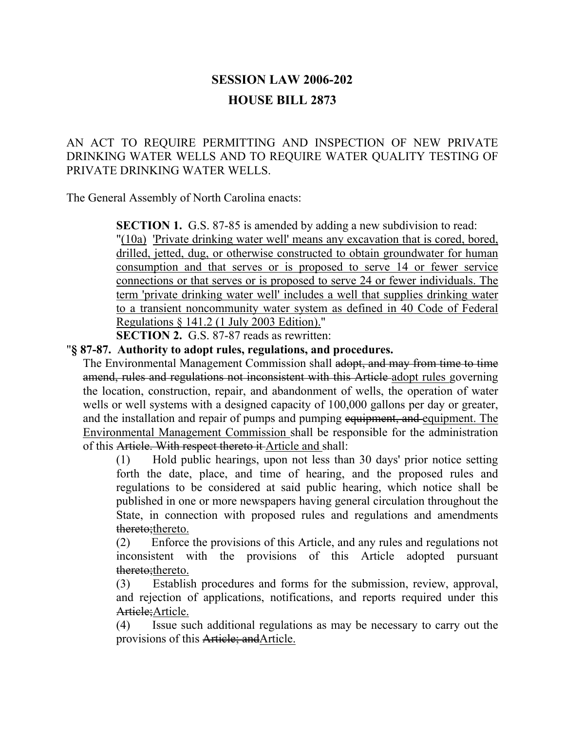# **SESSION LAW 2006-202 HOUSE BILL 2873**

## AN ACT TO REQUIRE PERMITTING AND INSPECTION OF NEW PRIVATE DRINKING WATER WELLS AND TO REQUIRE WATER QUALITY TESTING OF PRIVATE DRINKING WATER WELLS.

The General Assembly of North Carolina enacts:

**SECTION 1.** G.S. 87-85 is amended by adding a new subdivision to read: "(10a) 'Private drinking water well' means any excavation that is cored, bored, drilled, jetted, dug, or otherwise constructed to obtain groundwater for human consumption and that serves or is proposed to serve 14 or fewer service connections or that serves or is proposed to serve 24 or fewer individuals. The term 'private drinking water well' includes a well that supplies drinking water to a transient noncommunity water system as defined in 40 Code of Federal Regulations § 141.2 (1 July 2003 Edition)."

**SECTION 2.** G.S. 87-87 reads as rewritten:

## "**§ 87-87. Authority to adopt rules, regulations, and procedures.**

The Environmental Management Commission shall adopt, and may from time to time amend, rules and regulations not inconsistent with this Article adopt rules governing the location, construction, repair, and abandonment of wells, the operation of water wells or well systems with a designed capacity of 100,000 gallons per day or greater, and the installation and repair of pumps and pumping equipment, and equipment. The Environmental Management Commission shall be responsible for the administration of this Article. With respect thereto it Article and shall:

(1) Hold public hearings, upon not less than 30 days' prior notice setting forth the date, place, and time of hearing, and the proposed rules and regulations to be considered at said public hearing, which notice shall be published in one or more newspapers having general circulation throughout the State, in connection with proposed rules and regulations and amendments thereto;thereto.

(2) Enforce the provisions of this Article, and any rules and regulations not inconsistent with the provisions of this Article adopted pursuant thereto;thereto.

(3) Establish procedures and forms for the submission, review, approval, and rejection of applications, notifications, and reports required under this Article; Article.

(4) Issue such additional regulations as may be necessary to carry out the provisions of this Article; and Article.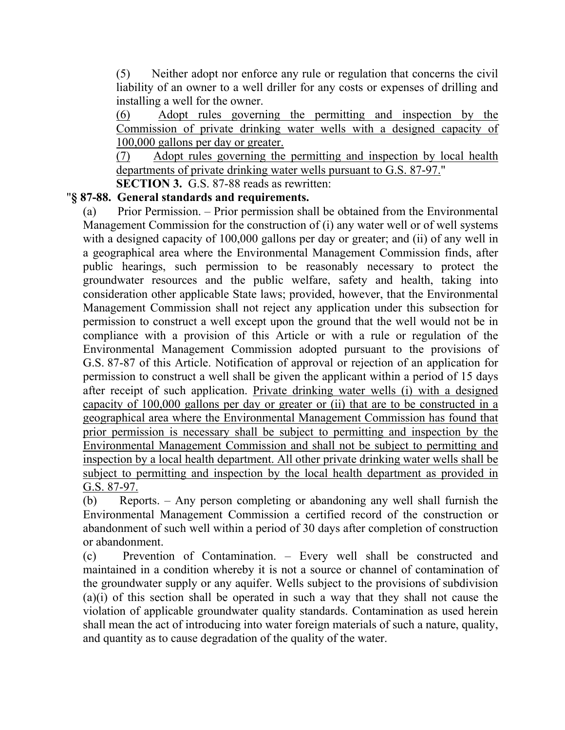(5) Neither adopt nor enforce any rule or regulation that concerns the civil liability of an owner to a well driller for any costs or expenses of drilling and installing a well for the owner.

(6) Adopt rules governing the permitting and inspection by the Commission of private drinking water wells with a designed capacity of 100,000 gallons per day or greater.

(7) Adopt rules governing the permitting and inspection by local health departments of private drinking water wells pursuant to G.S. 87-97."

**SECTION 3.** G.S. 87-88 reads as rewritten:

## "**§ 87-88. General standards and requirements.**

(a) Prior Permission. – Prior permission shall be obtained from the Environmental Management Commission for the construction of (i) any water well or of well systems with a designed capacity of 100,000 gallons per day or greater; and (ii) of any well in a geographical area where the Environmental Management Commission finds, after public hearings, such permission to be reasonably necessary to protect the groundwater resources and the public welfare, safety and health, taking into consideration other applicable State laws; provided, however, that the Environmental Management Commission shall not reject any application under this subsection for permission to construct a well except upon the ground that the well would not be in compliance with a provision of this Article or with a rule or regulation of the Environmental Management Commission adopted pursuant to the provisions of G.S. 87-87 of this Article. Notification of approval or rejection of an application for permission to construct a well shall be given the applicant within a period of 15 days after receipt of such application. Private drinking water wells (i) with a designed capacity of 100,000 gallons per day or greater or (ii) that are to be constructed in a geographical area where the Environmental Management Commission has found that prior permission is necessary shall be subject to permitting and inspection by the Environmental Management Commission and shall not be subject to permitting and inspection by a local health department. All other private drinking water wells shall be subject to permitting and inspection by the local health department as provided in G.S. 87-97.

(b) Reports. – Any person completing or abandoning any well shall furnish the Environmental Management Commission a certified record of the construction or abandonment of such well within a period of 30 days after completion of construction or abandonment.

(c) Prevention of Contamination. – Every well shall be constructed and maintained in a condition whereby it is not a source or channel of contamination of the groundwater supply or any aquifer. Wells subject to the provisions of subdivision (a)(i) of this section shall be operated in such a way that they shall not cause the violation of applicable groundwater quality standards. Contamination as used herein shall mean the act of introducing into water foreign materials of such a nature, quality, and quantity as to cause degradation of the quality of the water.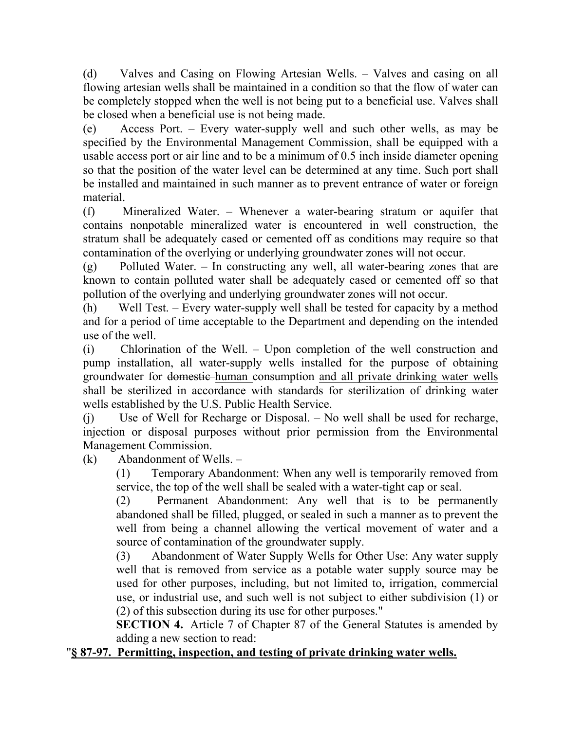(d) Valves and Casing on Flowing Artesian Wells. – Valves and casing on all flowing artesian wells shall be maintained in a condition so that the flow of water can be completely stopped when the well is not being put to a beneficial use. Valves shall be closed when a beneficial use is not being made.

(e) Access Port. – Every water-supply well and such other wells, as may be specified by the Environmental Management Commission, shall be equipped with a usable access port or air line and to be a minimum of 0.5 inch inside diameter opening so that the position of the water level can be determined at any time. Such port shall be installed and maintained in such manner as to prevent entrance of water or foreign material.

(f) Mineralized Water. – Whenever a water-bearing stratum or aquifer that contains nonpotable mineralized water is encountered in well construction, the stratum shall be adequately cased or cemented off as conditions may require so that contamination of the overlying or underlying groundwater zones will not occur.

(g) Polluted Water. – In constructing any well, all water-bearing zones that are known to contain polluted water shall be adequately cased or cemented off so that pollution of the overlying and underlying groundwater zones will not occur.

(h) Well Test. – Every water-supply well shall be tested for capacity by a method and for a period of time acceptable to the Department and depending on the intended use of the well.

(i) Chlorination of the Well. – Upon completion of the well construction and pump installation, all water-supply wells installed for the purpose of obtaining groundwater for domestic human consumption and all private drinking water wells shall be sterilized in accordance with standards for sterilization of drinking water wells established by the U.S. Public Health Service.

(j) Use of Well for Recharge or Disposal. – No well shall be used for recharge, injection or disposal purposes without prior permission from the Environmental Management Commission.

(k) Abandonment of Wells. –

(1) Temporary Abandonment: When any well is temporarily removed from service, the top of the well shall be sealed with a water-tight cap or seal.

(2) Permanent Abandonment: Any well that is to be permanently abandoned shall be filled, plugged, or sealed in such a manner as to prevent the well from being a channel allowing the vertical movement of water and a source of contamination of the groundwater supply.

(3) Abandonment of Water Supply Wells for Other Use: Any water supply well that is removed from service as a potable water supply source may be used for other purposes, including, but not limited to, irrigation, commercial use, or industrial use, and such well is not subject to either subdivision (1) or (2) of this subsection during its use for other purposes."

**SECTION 4.** Article 7 of Chapter 87 of the General Statutes is amended by adding a new section to read:

## "**§ 87-97. Permitting, inspection, and testing of private drinking water wells.**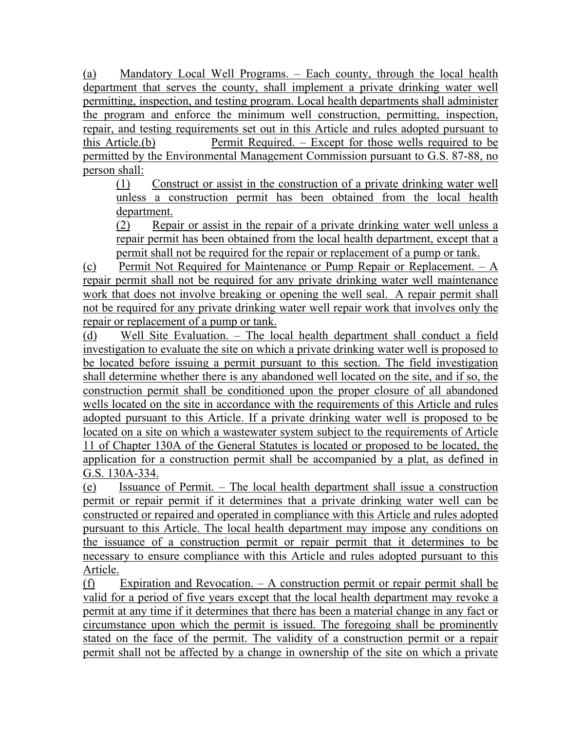(a) Mandatory Local Well Programs. – Each county, through the local health department that serves the county, shall implement a private drinking water well permitting, inspection, and testing program. Local health departments shall administer the program and enforce the minimum well construction, permitting, inspection, repair, and testing requirements set out in this Article and rules adopted pursuant to this Article.(b) Permit Required. – Except for those wells required to be permitted by the Environmental Management Commission pursuant to G.S. 87-88, no person shall:

(1) Construct or assist in the construction of a private drinking water well unless a construction permit has been obtained from the local health department.

(2) Repair or assist in the repair of a private drinking water well unless a repair permit has been obtained from the local health department, except that a permit shall not be required for the repair or replacement of a pump or tank.

(c) Permit Not Required for Maintenance or Pump Repair or Replacement. – A repair permit shall not be required for any private drinking water well maintenance work that does not involve breaking or opening the well seal. A repair permit shall not be required for any private drinking water well repair work that involves only the repair or replacement of a pump or tank.

(d) Well Site Evaluation. – The local health department shall conduct a field investigation to evaluate the site on which a private drinking water well is proposed to be located before issuing a permit pursuant to this section. The field investigation shall determine whether there is any abandoned well located on the site, and if so, the construction permit shall be conditioned upon the proper closure of all abandoned wells located on the site in accordance with the requirements of this Article and rules adopted pursuant to this Article. If a private drinking water well is proposed to be located on a site on which a wastewater system subject to the requirements of Article 11 of Chapter 130A of the General Statutes is located or proposed to be located, the application for a construction permit shall be accompanied by a plat, as defined in G.S. 130A-334.

(e) Issuance of Permit. – The local health department shall issue a construction permit or repair permit if it determines that a private drinking water well can be constructed or repaired and operated in compliance with this Article and rules adopted pursuant to this Article. The local health department may impose any conditions on the issuance of a construction permit or repair permit that it determines to be necessary to ensure compliance with this Article and rules adopted pursuant to this Article.

(f) Expiration and Revocation. – A construction permit or repair permit shall be valid for a period of five years except that the local health department may revoke a permit at any time if it determines that there has been a material change in any fact or circumstance upon which the permit is issued. The foregoing shall be prominently stated on the face of the permit. The validity of a construction permit or a repair permit shall not be affected by a change in ownership of the site on which a private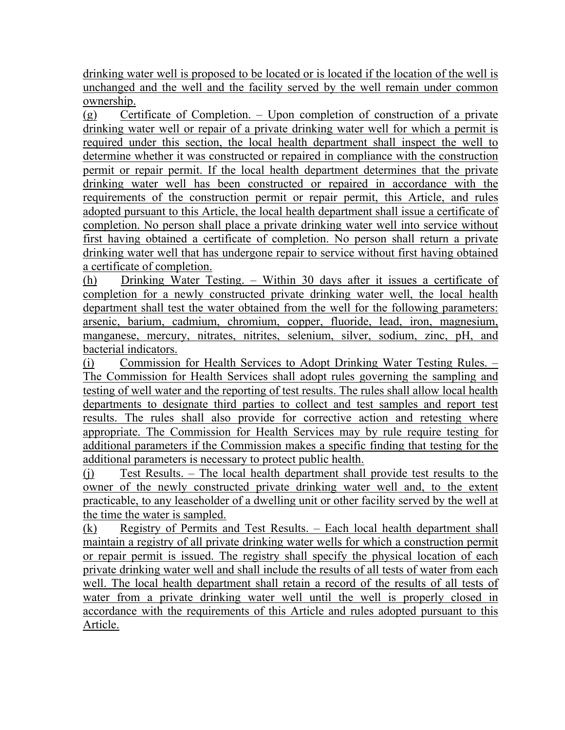drinking water well is proposed to be located or is located if the location of the well is unchanged and the well and the facility served by the well remain under common ownership.

(g) Certificate of Completion. – Upon completion of construction of a private drinking water well or repair of a private drinking water well for which a permit is required under this section, the local health department shall inspect the well to determine whether it was constructed or repaired in compliance with the construction permit or repair permit. If the local health department determines that the private drinking water well has been constructed or repaired in accordance with the requirements of the construction permit or repair permit, this Article, and rules adopted pursuant to this Article, the local health department shall issue a certificate of completion. No person shall place a private drinking water well into service without first having obtained a certificate of completion. No person shall return a private drinking water well that has undergone repair to service without first having obtained a certificate of completion.

(h) Drinking Water Testing. – Within 30 days after it issues a certificate of completion for a newly constructed private drinking water well, the local health department shall test the water obtained from the well for the following parameters: arsenic, barium, cadmium, chromium, copper, fluoride, lead, iron, magnesium, manganese, mercury, nitrates, nitrites, selenium, silver, sodium, zinc, pH, and bacterial indicators.

(i) Commission for Health Services to Adopt Drinking Water Testing Rules. – The Commission for Health Services shall adopt rules governing the sampling and testing of well water and the reporting of test results. The rules shall allow local health departments to designate third parties to collect and test samples and report test results. The rules shall also provide for corrective action and retesting where appropriate. The Commission for Health Services may by rule require testing for additional parameters if the Commission makes a specific finding that testing for the additional parameters is necessary to protect public health.

(j) Test Results. – The local health department shall provide test results to the owner of the newly constructed private drinking water well and, to the extent practicable, to any leaseholder of a dwelling unit or other facility served by the well at the time the water is sampled.

(k) Registry of Permits and Test Results. – Each local health department shall maintain a registry of all private drinking water wells for which a construction permit or repair permit is issued. The registry shall specify the physical location of each private drinking water well and shall include the results of all tests of water from each well. The local health department shall retain a record of the results of all tests of water from a private drinking water well until the well is properly closed in accordance with the requirements of this Article and rules adopted pursuant to this Article.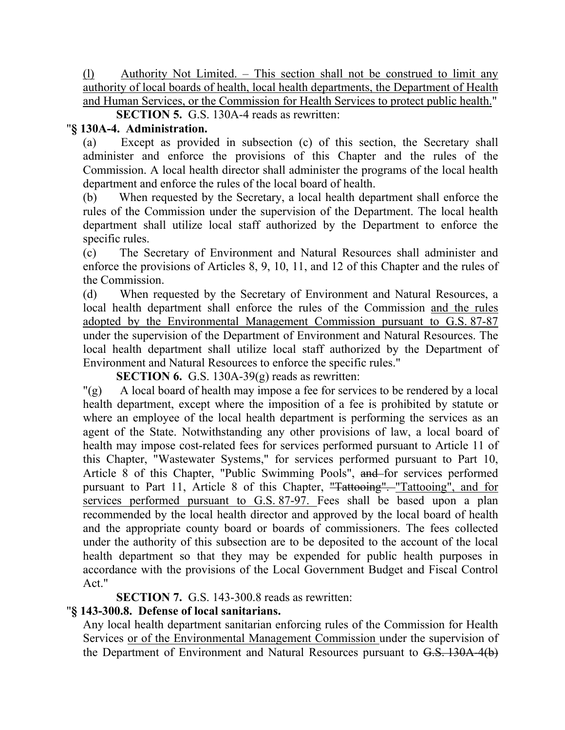(l) Authority Not Limited. – This section shall not be construed to limit any authority of local boards of health, local health departments, the Department of Health and Human Services, or the Commission for Health Services to protect public health."

**SECTION 5.** G.S. 130A-4 reads as rewritten:

#### "**§ 130A-4. Administration.**

(a) Except as provided in subsection (c) of this section, the Secretary shall administer and enforce the provisions of this Chapter and the rules of the Commission. A local health director shall administer the programs of the local health department and enforce the rules of the local board of health.

(b) When requested by the Secretary, a local health department shall enforce the rules of the Commission under the supervision of the Department. The local health department shall utilize local staff authorized by the Department to enforce the specific rules.

(c) The Secretary of Environment and Natural Resources shall administer and enforce the provisions of Articles 8, 9, 10, 11, and 12 of this Chapter and the rules of the Commission.

(d) When requested by the Secretary of Environment and Natural Resources, a local health department shall enforce the rules of the Commission and the rules adopted by the Environmental Management Commission pursuant to G.S. 87-87 under the supervision of the Department of Environment and Natural Resources. The local health department shall utilize local staff authorized by the Department of Environment and Natural Resources to enforce the specific rules."

**SECTION 6.** G.S. 130A-39(g) reads as rewritten:

"(g) A local board of health may impose a fee for services to be rendered by a local health department, except where the imposition of a fee is prohibited by statute or where an employee of the local health department is performing the services as an agent of the State. Notwithstanding any other provisions of law, a local board of health may impose cost-related fees for services performed pursuant to Article 11 of this Chapter, "Wastewater Systems," for services performed pursuant to Part 10, Article 8 of this Chapter, "Public Swimming Pools", and for services performed pursuant to Part 11, Article 8 of this Chapter, "Tattooing". "Tattooing", and for services performed pursuant to G.S. 87-97. Fees shall be based upon a plan recommended by the local health director and approved by the local board of health and the appropriate county board or boards of commissioners. The fees collected under the authority of this subsection are to be deposited to the account of the local health department so that they may be expended for public health purposes in accordance with the provisions of the Local Government Budget and Fiscal Control Act."

**SECTION 7.** G.S. 143-300.8 reads as rewritten:

#### "**§ 143-300.8. Defense of local sanitarians.**

Any local health department sanitarian enforcing rules of the Commission for Health Services or of the Environmental Management Commission under the supervision of the Department of Environment and Natural Resources pursuant to G.S. 130A-4(b)